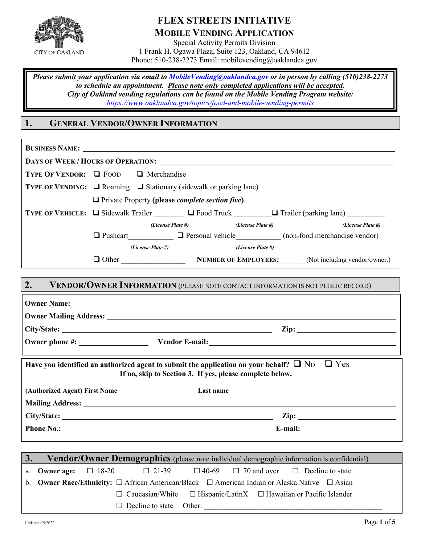

# **FLEX STREETS INITIATIVE MOBILE VENDING APPLICATION**

Special Activity Permits Division 1 Frank H. Ogawa Plaza, Suite 123, Oakland, CA 94612 Phone: 510-238-2273 Email: mobilevending@oaklandca.gov

*Please submit your application via email to [MobileVending@oaklandca.gov](mailto:MobileVending@oaklandca.gov) or in person by calling (510)238-2273 to schedule an appointment. Please note only completed applications will be accepted. City of Oakland vending regulations can be found on the Mobile Vending Program website: <https://www.oaklandca.gov/topics/food-and-mobile-vending-permits>*

# **1. GENERAL VENDOR/OWNER INFORMATION**

|    | <b>TYPE OF VENDOR:</b> $\Box$ FOOD $\Box$ Merchandise              |                                                                                                        |
|----|--------------------------------------------------------------------|--------------------------------------------------------------------------------------------------------|
|    | TYPE OF VENDING: □ Roaming □ Stationary (sidewalk or parking lane) |                                                                                                        |
|    | $\Box$ Private Property (please <i>complete section five</i> )     |                                                                                                        |
|    |                                                                    | TYPE OF VEHICLE: Q Sidewalk Trailer Concording D Food Truck Container (parking lane)                   |
|    | (License Plate #)                                                  | (License Plate #)<br>(License Plate #)                                                                 |
|    |                                                                    | $\Box$ Pushcart $\Box$ Personal vehicle (non-food merchandise vendor)                                  |
|    | (License Plate #)                                                  | (License Plate #)                                                                                      |
|    |                                                                    | Other NUMBER OF EMPLOYEES: (Not including vendor/owner.)                                               |
|    |                                                                    |                                                                                                        |
| 2. |                                                                    | VENDOR/OWNER INFORMATION (PLEASE NOTE CONTACT INFORMATION IS NOT PUBLIC RECORD)                        |
|    |                                                                    |                                                                                                        |
|    |                                                                    |                                                                                                        |
|    |                                                                    | $City/State:$ $Zip:$                                                                                   |
|    |                                                                    | Owner phone #: Vendor E-mail:                                                                          |
|    |                                                                    |                                                                                                        |
|    |                                                                    |                                                                                                        |
|    |                                                                    | Have you identified an authorized agent to submit the application on your behalf? $\Box$ No $\Box$ Yes |
|    |                                                                    | If no, skip to Section 3. If yes, please complete below.                                               |
|    |                                                                    |                                                                                                        |
|    |                                                                    | (Authorized Agent) First Name Last name Last name                                                      |
|    |                                                                    |                                                                                                        |
|    |                                                                    |                                                                                                        |

|  |                                |  | 3. Vendor/Owner Demographics (please note individual demographic information is confidential)                      |  |
|--|--------------------------------|--|--------------------------------------------------------------------------------------------------------------------|--|
|  |                                |  | <b>a.</b> Owner age: $\Box$ 18-20 $\Box$ 21-39 $\Box$ 40-69 $\Box$ 70 and over $\Box$ Decline to state             |  |
|  |                                |  | b. <b>Owner Race/Ethnicity:</b> $\Box$ African American/Black $\Box$ American Indian or Alaska Native $\Box$ Asian |  |
|  |                                |  | $\Box$ Caucasian/White $\Box$ Hispanic/LatinX $\Box$ Hawaiian or Pacific Islander                                  |  |
|  | $\Box$ Decline to state Other: |  |                                                                                                                    |  |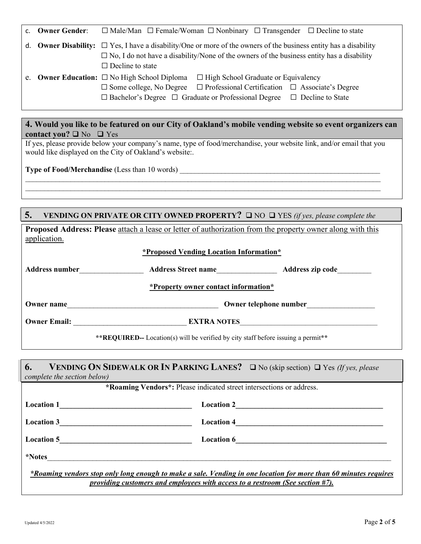| c. Owner Gender: | $\Box$ Male/Man $\Box$ Female/Woman $\Box$ Nonbinary $\Box$ Transgender $\Box$ Decline to state                        |
|------------------|------------------------------------------------------------------------------------------------------------------------|
|                  | d. Owner Disability: $\Box$ Yes, I have a disability/One or more of the owners of the business entity has a disability |
|                  | $\Box$ No, I do not have a disability/None of the owners of the business entity has a disability                       |
|                  | $\Box$ Decline to state                                                                                                |
|                  | e. Owner Education: $\square$ No High School Diploma<br>$\Box$ High School Graduate or Equivalency                     |
|                  | $\Box$ Professional Certification $\Box$ Associate's Degree<br>$\square$ Some college, No Degree                       |
|                  | $\Box$ Bachelor's Degree $\Box$ Graduate or Professional Degree $\Box$ Decline to State                                |

# **4. Would you like to be featured on our City of Oakland's mobile vending website so event organizers can** contact you?  $\Box$  No  $\Box$  Yes

If yes, please provide below your company's name, type of food/merchandise, your website link, and/or email that you would like displayed on the City of Oakland's website:.

 $\mathcal{L}_\mathcal{L} = \{ \mathcal{L}_\mathcal{L} = \{ \mathcal{L}_\mathcal{L} = \{ \mathcal{L}_\mathcal{L} = \{ \mathcal{L}_\mathcal{L} = \{ \mathcal{L}_\mathcal{L} = \{ \mathcal{L}_\mathcal{L} = \{ \mathcal{L}_\mathcal{L} = \{ \mathcal{L}_\mathcal{L} = \{ \mathcal{L}_\mathcal{L} = \{ \mathcal{L}_\mathcal{L} = \{ \mathcal{L}_\mathcal{L} = \{ \mathcal{L}_\mathcal{L} = \{ \mathcal{L}_\mathcal{L} = \{ \mathcal{L}_\mathcal{$  $\mathcal{L}_\mathcal{L} = \{ \mathcal{L}_\mathcal{L} = \{ \mathcal{L}_\mathcal{L} = \{ \mathcal{L}_\mathcal{L} = \{ \mathcal{L}_\mathcal{L} = \{ \mathcal{L}_\mathcal{L} = \{ \mathcal{L}_\mathcal{L} = \{ \mathcal{L}_\mathcal{L} = \{ \mathcal{L}_\mathcal{L} = \{ \mathcal{L}_\mathcal{L} = \{ \mathcal{L}_\mathcal{L} = \{ \mathcal{L}_\mathcal{L} = \{ \mathcal{L}_\mathcal{L} = \{ \mathcal{L}_\mathcal{L} = \{ \mathcal{L}_\mathcal{$ 

**Type of Food/Merchandise** (Less than 10 words)

# **5. VENDING ON PRIVATE OR CITY OWNED PROPERTY?**  $\Box$  NO  $\Box$  YES *(if yes, please complete the*

**Proposed Address: Please** attach a lease or letter of authorization from the property owner along with this application.

#### **\*Proposed Vending Location Information\***

| Address number | <b>Address Street name</b>           | Address zip code |
|----------------|--------------------------------------|------------------|
|                | *Property owner contact information* |                  |

**Owner name**\_\_\_\_\_\_\_\_\_\_\_\_\_\_\_\_\_\_\_\_\_\_\_\_\_\_\_\_\_\_\_\_\_\_\_\_\_\_\_\_ **Owner telephone number**\_\_\_\_\_\_\_\_\_\_\_\_\_\_\_\_\_\_

**Owner Email: EXTRA NOTES** 

**\*\*REQUIRED--** Location(s) will be verified by city staff before issuing a permit**\*\***

| 6.                          | <b>VENDING ON SIDEWALK OR IN PARKING LANES?</b> $\Box$ No (skip section) $\Box$ Yes (If yes, please                                                                                               |
|-----------------------------|---------------------------------------------------------------------------------------------------------------------------------------------------------------------------------------------------|
| complete the section below) |                                                                                                                                                                                                   |
|                             | *Roaming Vendors*: Please indicated street intersections or address.                                                                                                                              |
| <b>Location 1</b>           | <b>Location 2</b>                                                                                                                                                                                 |
| <b>Location 3</b>           | <b>Location 4</b>                                                                                                                                                                                 |
| <b>Location 5</b>           | <b>Location 6</b>                                                                                                                                                                                 |
| <i>*Notes</i>               |                                                                                                                                                                                                   |
|                             | *Roaming vendors stop only long enough to make a sale. Vending in one location for more than 60 minutes requires<br>providing customers and employees with access to a restroom (See section #7). |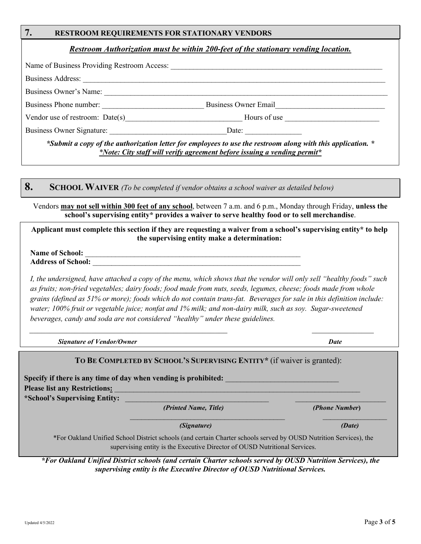## **7. RESTROOM REQUIREMENTS FOR STATIONARY VENDORS**

### *Restroom Authorization must be within 200-feet of the stationary vending location.*

|                                   | Name of Business Providing Restroom Access: Name of Business Providing Restroom Access:                                                                                                                                        |
|-----------------------------------|--------------------------------------------------------------------------------------------------------------------------------------------------------------------------------------------------------------------------------|
| Business Address:                 |                                                                                                                                                                                                                                |
| Business Owner's Name:            |                                                                                                                                                                                                                                |
| Business Phone number:            | <b>Business Owner Email</b>                                                                                                                                                                                                    |
| Vendor use of restroom: $Date(s)$ | Hours of use the contract of the contract of the contract of the contract of the contract of the contract of the contract of the contract of the contract of the contract of the contract of the contract of the contract of t |
| Business Owner Signature:         | Date: $\qquad \qquad \qquad$                                                                                                                                                                                                   |
|                                   | *Submit a copy of the authorization letter for employees to use the restroom along with this application. *                                                                                                                    |

*\*Note: City staff will verify agreement before issuing a vending permit\**

# **8. SCHOOL WAIVER** *(To be completed if vendor obtains a school waiver as detailed below)*

Vendors **may not sell within 300 feet of any school**, between 7 a.m. and 6 p.m., Monday through Friday, **unless the school's supervising entity\* provides a waiver to serve healthy food or to sell merchandise**.

**Applicant must complete this section if they are requesting a waiver from a school's supervising entity\* to help the supervising entity make a determination:** 

Name of School: **Address of School:** \_\_\_\_\_\_\_\_\_\_\_\_\_\_\_\_\_\_\_\_\_\_\_\_\_\_\_\_\_\_\_\_\_\_\_\_\_\_\_\_\_\_\_\_\_\_\_\_\_\_\_\_\_\_\_

*I, the undersigned, have attached a copy of the menu, which shows that the vendor will only sell "healthy foods" such as fruits; non-fried vegetables; dairy foods; food made from nuts, seeds, legumes, cheese; foods made from whole grains (defined as 51% or more); foods which do not contain trans-fat. Beverages for sale in this definition include: water; 100% fruit or vegetable juice; nonfat and 1% milk; and non-dairy milk, such as soy. Sugar-sweetened beverages, candy and soda are not considered "healthy" under these guidelines.* 

 $\overline{\phantom{a}}$  ,  $\overline{\phantom{a}}$  ,  $\overline{\phantom{a}}$  ,  $\overline{\phantom{a}}$  ,  $\overline{\phantom{a}}$  ,  $\overline{\phantom{a}}$  ,  $\overline{\phantom{a}}$  ,  $\overline{\phantom{a}}$  ,  $\overline{\phantom{a}}$  ,  $\overline{\phantom{a}}$  ,  $\overline{\phantom{a}}$  ,  $\overline{\phantom{a}}$  ,  $\overline{\phantom{a}}$  ,  $\overline{\phantom{a}}$  ,  $\overline{\phantom{a}}$  ,  $\overline{\phantom{a}}$ 

 *Signature of Vendor/Owner Date*

## **TO BE COMPLETED BY SCHOOL'S SUPERVISING ENTITY\*** (if waiver is granted):

Specify if there is any time of day when vending is prohibited: Please list any Restrictions: \*School's Supervising Entity:

 *(Printed Name, Title) (Phone Number***)** 

 $\mathcal{L}_\text{max} = \mathcal{L}_\text{max} = \mathcal{L}_\text{max} = \mathcal{L}_\text{max} = \mathcal{L}_\text{max} = \mathcal{L}_\text{max} = \mathcal{L}_\text{max} = \mathcal{L}_\text{max} = \mathcal{L}_\text{max} = \mathcal{L}_\text{max} = \mathcal{L}_\text{max} = \mathcal{L}_\text{max} = \mathcal{L}_\text{max} = \mathcal{L}_\text{max} = \mathcal{L}_\text{max} = \mathcal{L}_\text{max} = \mathcal{L}_\text{max} = \mathcal{L}_\text{max} = \mathcal{$ 

 *(Signature) (Date)*

\*For Oakland Unified School District schools (and certain Charter schools served by OUSD Nutrition Services), the supervising entity is the Executive Director of OUSD Nutritional Services.

*\*For Oakland Unified District schools (and certain Charter schools served by OUSD Nutrition Services), the supervising entity is the Executive Director of OUSD Nutritional Services.*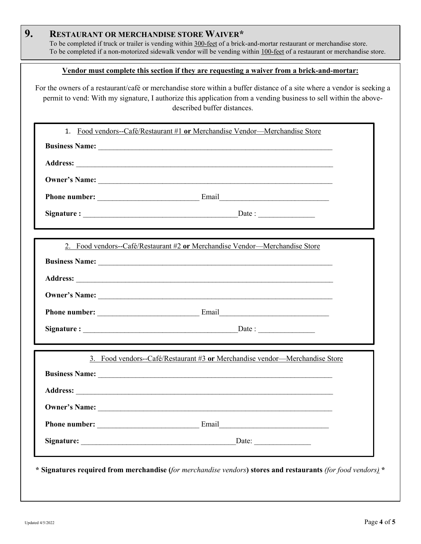|            | <u>Vendor must complete this section if they are requesting a waiver from a brick-and-mortar:</u>                                                                                                                                                                           |  |
|------------|-----------------------------------------------------------------------------------------------------------------------------------------------------------------------------------------------------------------------------------------------------------------------------|--|
|            | For the owners of a restaurant/café or merchandise store within a buffer distance of a site where a vendor is seeking a<br>permit to vend: With my signature, I authorize this application from a vending business to sell within the above-<br>described buffer distances. |  |
| 1.         | Food vendors--Café/Restaurant #1 or Merchandise Vendor---Merchandise Store                                                                                                                                                                                                  |  |
|            | Business Name: Name: Name: Name: Name: Name: Name: Name: Name: Name: Name: Name: Name: Name: Name: Name: Name: Name: Name: Name: Name: Name: Name: Name: Name: Name: Name: Name: Name: Name: Name: Name: Name: Name: Name: Nam                                              |  |
|            |                                                                                                                                                                                                                                                                             |  |
|            |                                                                                                                                                                                                                                                                             |  |
|            |                                                                                                                                                                                                                                                                             |  |
|            |                                                                                                                                                                                                                                                                             |  |
|            |                                                                                                                                                                                                                                                                             |  |
|            |                                                                                                                                                                                                                                                                             |  |
|            |                                                                                                                                                                                                                                                                             |  |
|            |                                                                                                                                                                                                                                                                             |  |
| Signature: | Date:                                                                                                                                                                                                                                                                       |  |
|            | 3. Food vendors--Café/Restaurant #3 or Merchandise vendor---Merchandise Store                                                                                                                                                                                               |  |
|            |                                                                                                                                                                                                                                                                             |  |
|            |                                                                                                                                                                                                                                                                             |  |
|            |                                                                                                                                                                                                                                                                             |  |
|            |                                                                                                                                                                                                                                                                             |  |